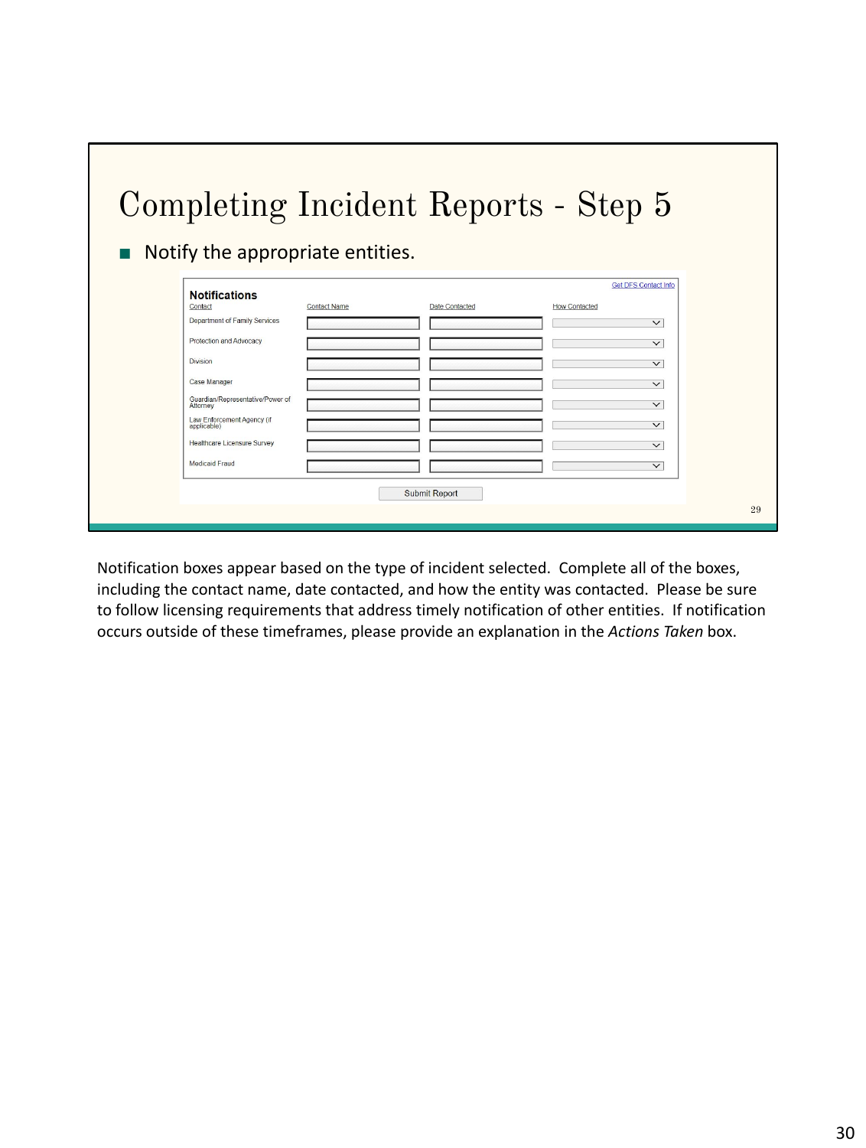|                                                       |                     |                      | Completing Incident Reports - Step 5 |  |
|-------------------------------------------------------|---------------------|----------------------|--------------------------------------|--|
| Notify the appropriate entities.                      |                     |                      |                                      |  |
|                                                       |                     |                      | <b>Get DFS Contact Info</b>          |  |
| <b>Notifications</b><br>Contact                       | <b>Contact Name</b> | Date Contacted       | <b>How Contacted</b>                 |  |
| Department of Family Services                         |                     |                      | $\checkmark$                         |  |
| Protection and Advocacy                               |                     |                      | $\checkmark$                         |  |
| <b>Division</b>                                       |                     |                      | $\checkmark$                         |  |
| Case Manager                                          |                     |                      | $\checkmark$                         |  |
| Guardian/Representative/Power of                      |                     |                      | $\checkmark$                         |  |
| Attorney<br>Law Enforcement Agency (if<br>applicable) |                     |                      | $\checkmark$                         |  |
| <b>Healthcare Licensure Survey</b>                    |                     |                      | $\checkmark$                         |  |
| Medicaid Fraud                                        |                     |                      | $\checkmark$                         |  |
|                                                       |                     |                      |                                      |  |
|                                                       |                     | <b>Submit Report</b> |                                      |  |
|                                                       |                     |                      |                                      |  |

Notification boxes appear based on the type of incident selected. Complete all of the boxes, including the contact name, date contacted, and how the entity was contacted. Please be sure to follow licensing requirements that address timely notification of other entities. If notification occurs outside of these timeframes, please provide an explanation in the *Actions Taken* box.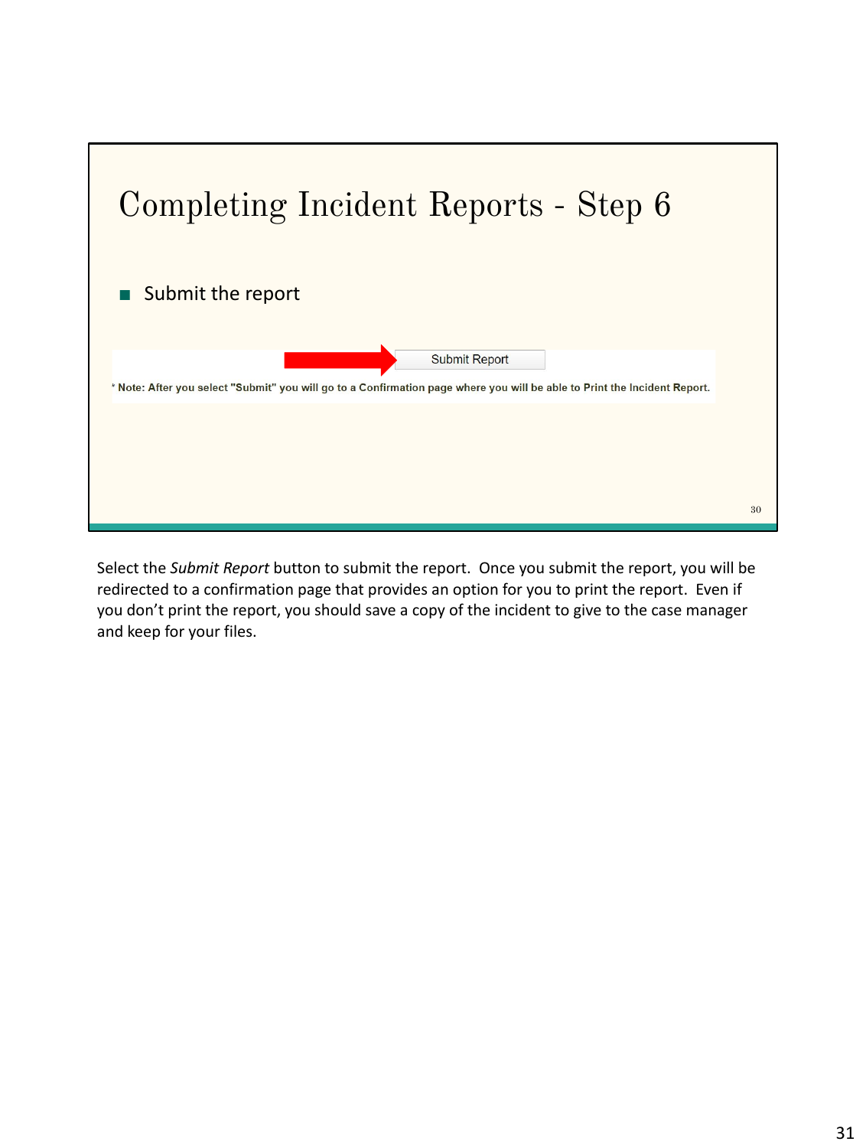

Select the *Submit Report* button to submit the report. Once you submit the report, you will be redirected to a confirmation page that provides an option for you to print the report. Even if you don't print the report, you should save a copy of the incident to give to the case manager and keep for your files.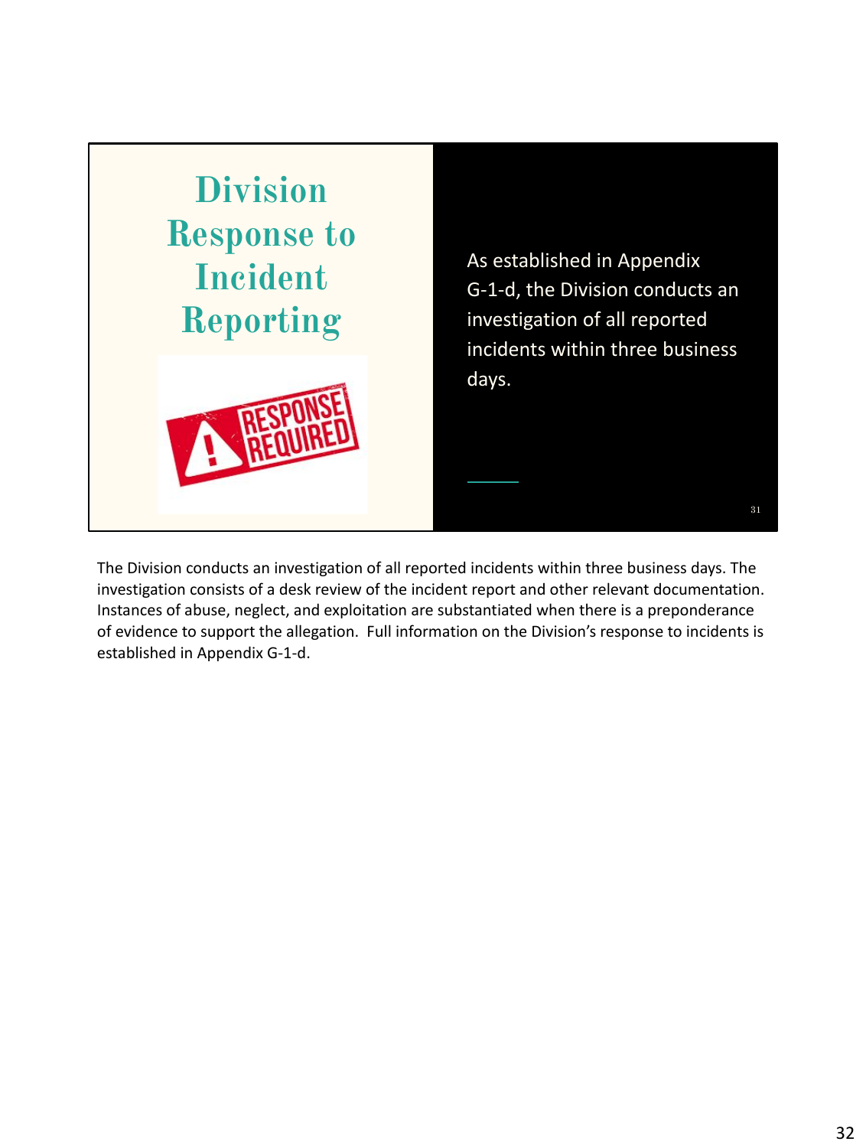

The Division conducts an investigation of all reported incidents within three business days. The investigation consists of a desk review of the incident report and other relevant documentation. Instances of abuse, neglect, and exploitation are substantiated when there is a preponderance of evidence to support the allegation. Full information on the Division's response to incidents is established in Appendix G-1-d.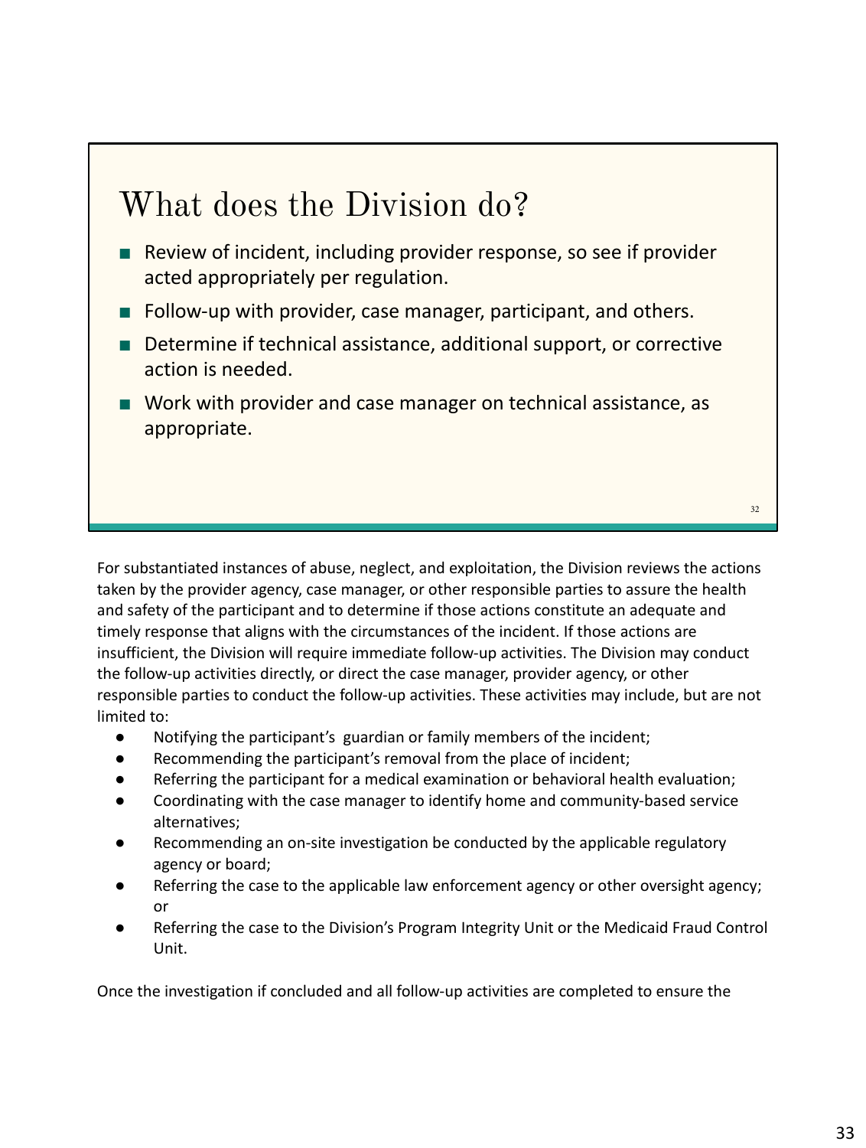## What does the Division do?

- Review of incident, including provider response, so see if provider acted appropriately per regulation.
- Follow-up with provider, case manager, participant, and others.
- Determine if technical assistance, additional support, or corrective action is needed.
- Work with provider and case manager on technical assistance, as appropriate.

For substantiated instances of abuse, neglect, and exploitation, the Division reviews the actions taken by the provider agency, case manager, or other responsible parties to assure the health and safety of the participant and to determine if those actions constitute an adequate and timely response that aligns with the circumstances of the incident. If those actions are insufficient, the Division will require immediate follow-up activities. The Division may conduct the follow-up activities directly, or direct the case manager, provider agency, or other responsible parties to conduct the follow-up activities. These activities may include, but are not limited to:

- Notifying the participant's guardian or family members of the incident;
- Recommending the participant's removal from the place of incident;
- Referring the participant for a medical examination or behavioral health evaluation;
- Coordinating with the case manager to identify home and community-based service alternatives;
- Recommending an on-site investigation be conducted by the applicable regulatory agency or board;
- Referring the case to the applicable law enforcement agency or other oversight agency; or
- Referring the case to the Division's Program Integrity Unit or the Medicaid Fraud Control Unit.

Once the investigation if concluded and all follow-up activities are completed to ensure the

32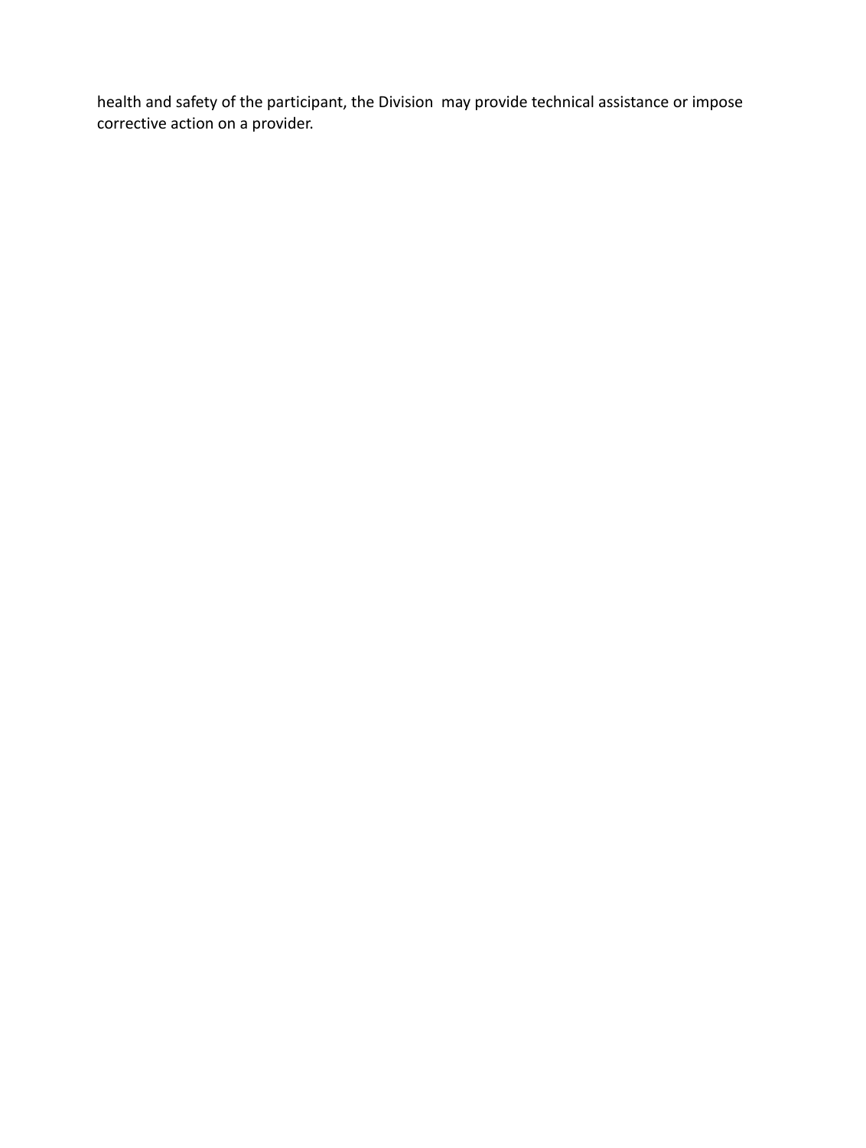health and safety of the participant, the Division may provide technical assistance or impose corrective action on a provider.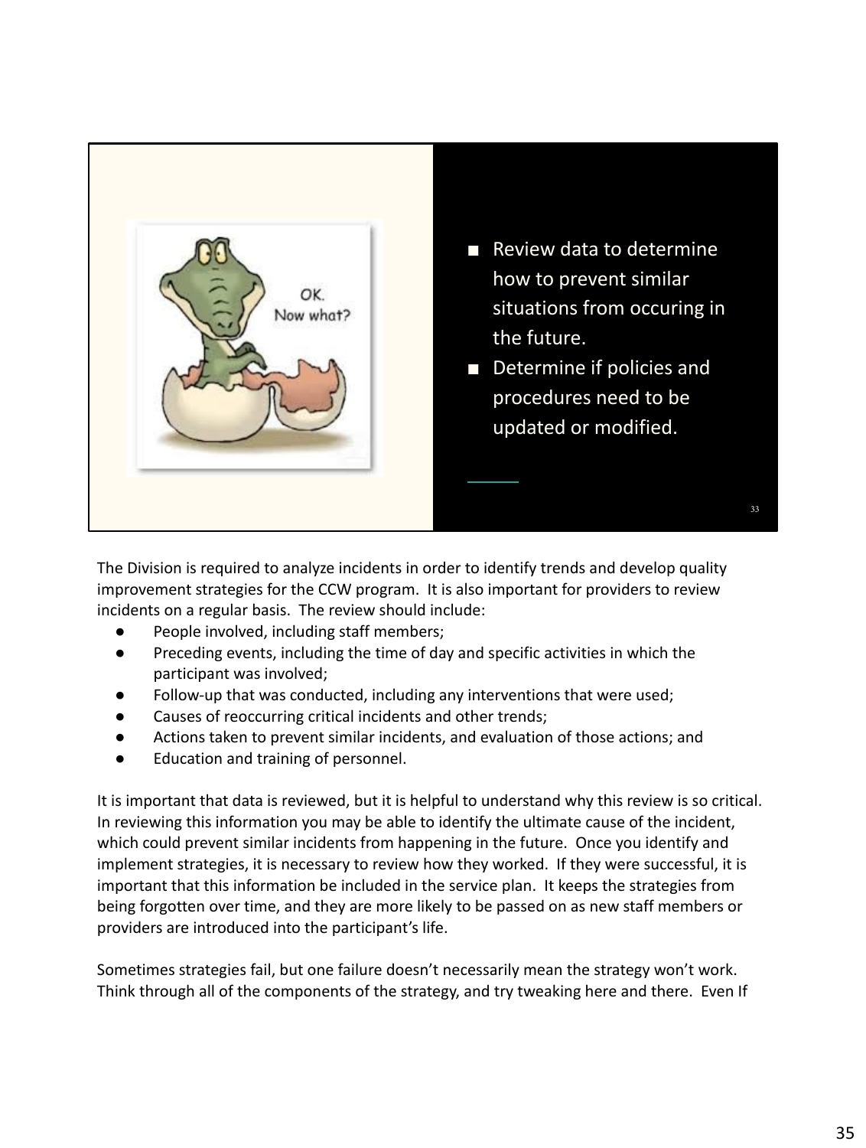

The Division is required to analyze incidents in order to identify trends and develop quality improvement strategies for the CCW program. It is also important for providers to review incidents on a regular basis. The review should include:

- People involved, including staff members;
- Preceding events, including the time of day and specific activities in which the participant was involved;
- Follow-up that was conducted, including any interventions that were used;
- Causes of reoccurring critical incidents and other trends;
- Actions taken to prevent similar incidents, and evaluation of those actions; and
- Education and training of personnel.

It is important that data is reviewed, but it is helpful to understand why this review is so critical. In reviewing this information you may be able to identify the ultimate cause of the incident, which could prevent similar incidents from happening in the future. Once you identify and implement strategies, it is necessary to review how they worked. If they were successful, it is important that this information be included in the service plan. It keeps the strategies from being forgotten over time, and they are more likely to be passed on as new staff members or providers are introduced into the participant's life.

Sometimes strategies fail, but one failure doesn't necessarily mean the strategy won't work. Think through all of the components of the strategy, and try tweaking here and there. Even If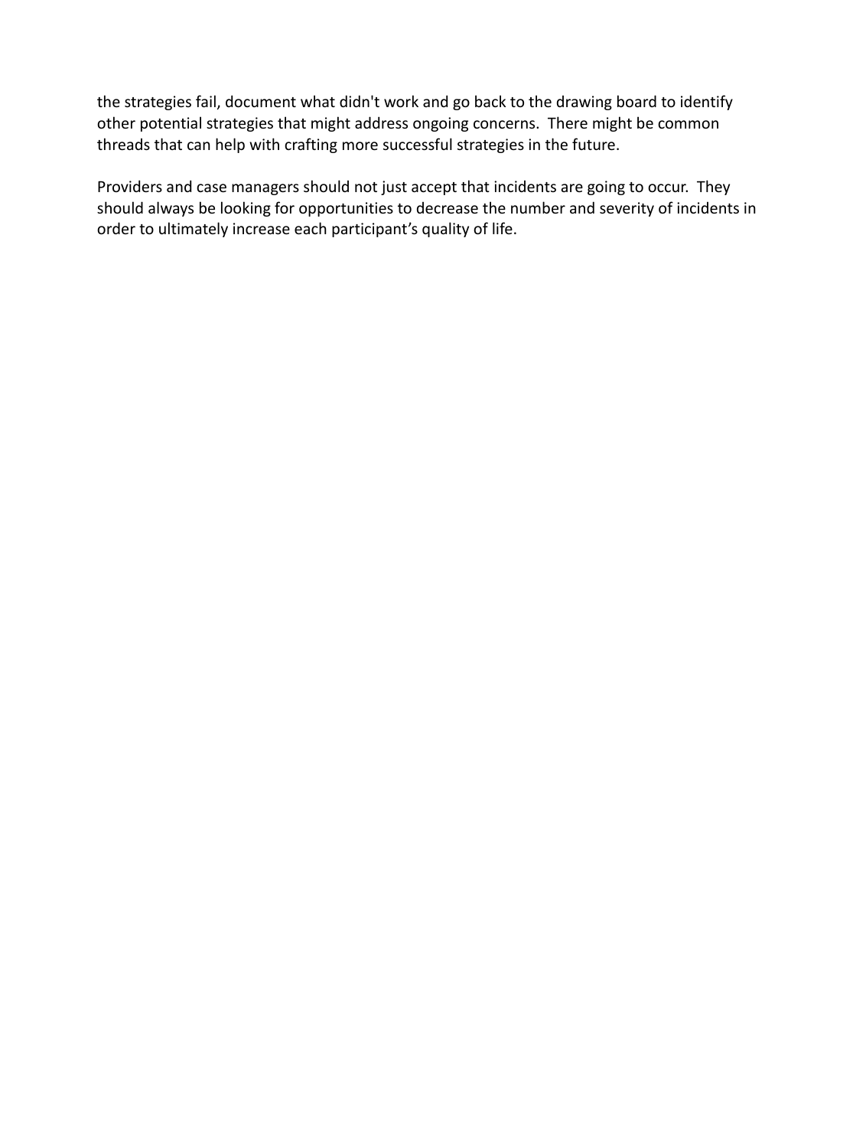the strategies fail, document what didn't work and go back to the drawing board to identify other potential strategies that might address ongoing concerns. There might be common threads that can help with crafting more successful strategies in the future.

Providers and case managers should not just accept that incidents are going to occur. They should always be looking for opportunities to decrease the number and severity of incidents in order to ultimately increase each participant's quality of life.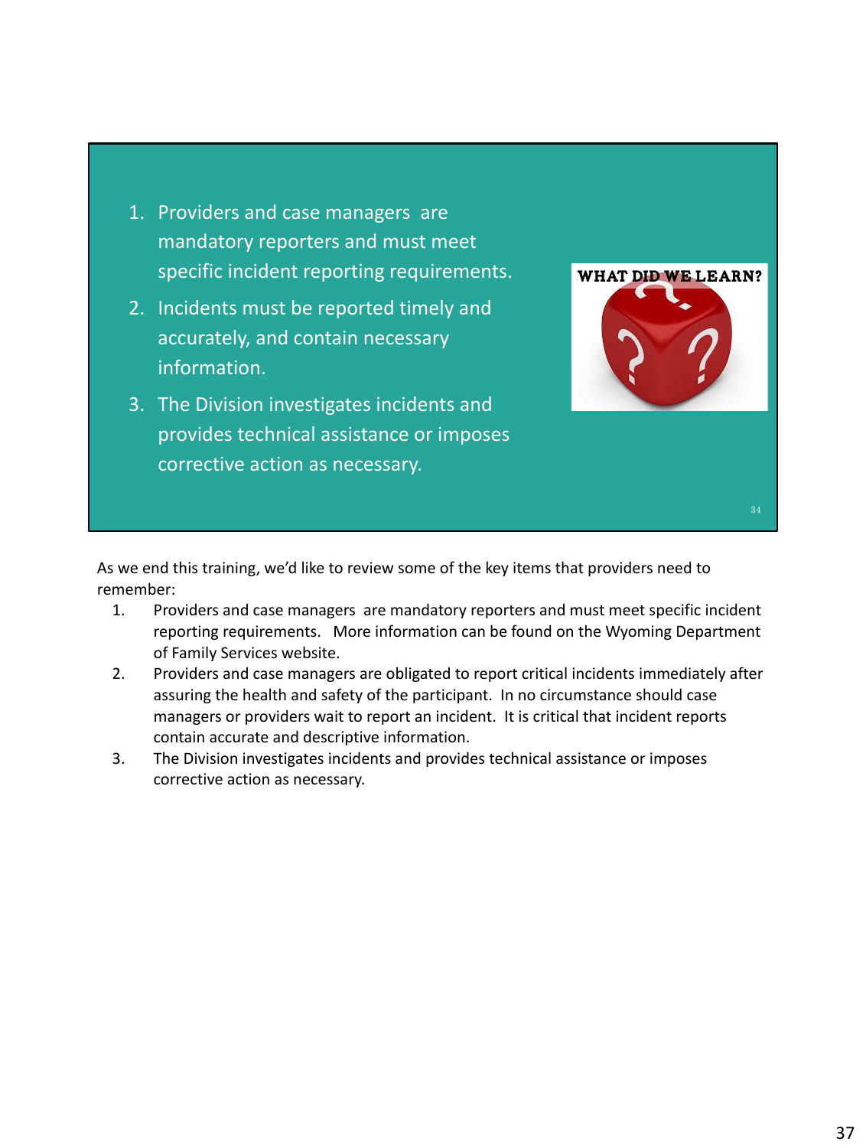- 1. Providers and case managers are mandatory reporters and must meet specific incident reporting requirements.
- 2. Incidents must be reported timely and accurately, and contain necessary information.
- 3. The Division investigates incidents and provides technical assistance or imposes corrective action as necessary.



As we end this training, we'd like to review some of the key items that providers need to remember:

- 1. Providers and case managers are mandatory reporters and must meet specific incident reporting requirements. More information can be found on the Wyoming Department of Family Services website.
- 2. Providers and case managers are obligated to report critical incidents immediately after assuring the health and safety of the participant. In no circumstance should case managers or providers wait to report an incident. It is critical that incident reports contain accurate and descriptive information.
- 3. The Division investigates incidents and provides technical assistance or imposes corrective action as necessary.